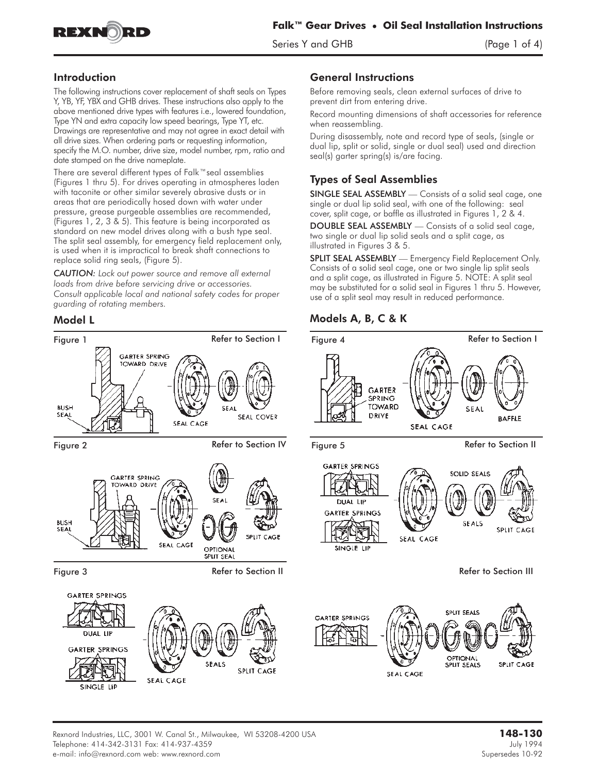

Series Y and GHB (Page 1 of 4)

## Introduction

The following instructions cover replacement of shaft seals on Types Y, YB, YF, YBX and GHB drives. These instructions also apply to the above mentioned drive types with features i.e., lowered foundation, Type YN and extra capacity low speed bearings, Type YT, etc. Drawings are representative and may not agree in exact detail with all drive sizes. When ordering parts or requesting information, specify the M.O. number, drive size, model number, rpm, ratio and date stamped on the drive nameplate.

There are several different types of Falk™seal assemblies (Figures 1 thru 5). For drives operating in atmospheres laden with taconite or other similar severely abrasive dusts or in areas that are periodically hosed down with water under pressure, grease purgeable assemblies are recommended, (Figures 1, 2, 3 & 5). This feature is being incorporated as standard on new model drives along with a bush type seal. The split seal assembly, for emergency field replacement only, is used when it is impractical to break shaft connections to replace solid ring seals, (Figure 5).

*CAUTION: Lock out power source and remove all external loads from drive before servicing drive or accessories. Consult applicable local and national safety codes for proper guarding of rotating members.*



#### General Instructions

Before removing seals, clean external surfaces of drive to prevent dirt from entering drive.

Record mounting dimensions of shaft accessories for reference when reassembling.

During disassembly, note and record type of seals, (single or dual lip, split or solid, single or dual seal) used and direction seal(s) garter spring(s) is/are facing.

# Types of Seal Assemblies

SINGLE SEAL ASSEMBLY — Consists of a solid seal cage, one single or dual lip solid seal, with one of the following: seal cover, split cage, or baffle as illustrated in Figures 1, 2 & 4.

DOUBLE SEAL ASSEMBLY — Consists of a solid seal cage, two single or dual lip solid seals and a split cage, as illustrated in Figures 3 & 5.

SPLIT SEAL ASSEMBLY **— Emergency Field Replacement Only.** Consists of a solid seal cage, one or two single lip split seals and a split cage, as illustrated in Figure 5. NOTE: A split seal may be substituted for a solid seal in Figures 1 thru 5. However, use of a split seal may result in reduced performance.

## Model L Models A, B, C & K

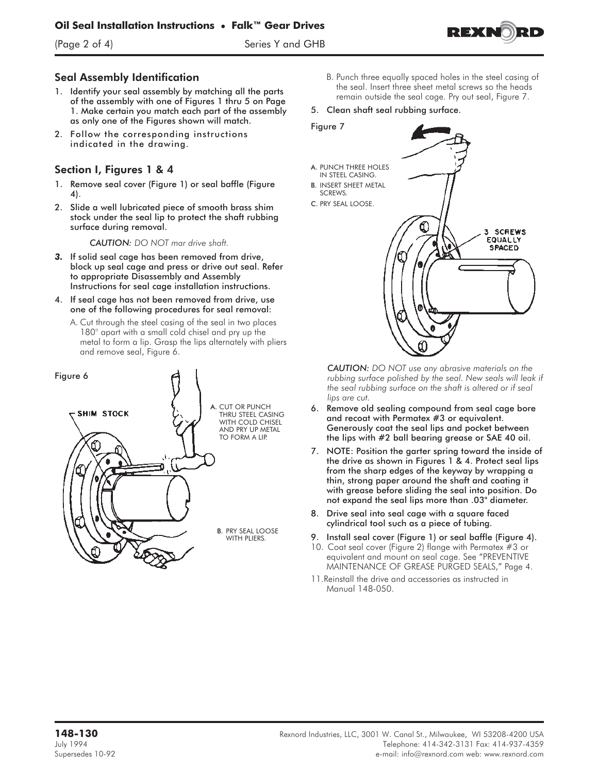(Page 2 of 4) Series Y and GHB



#### Seal Assembly Identification

- 1. Identify your seal assembly by matching all the parts of the assembly with one of Figures 1 thru 5 on Page 1. Make certain you match each part of the assembly as only one of the Figures shown will match.
- 2. Follow the corresponding instructions indicated in the drawing.

## Section I, Figures 1 & 4

- 1. Remove seal cover (Figure 1) or seal baffle (Figure 4).
- 2. Slide a well lubricated piece of smooth brass shim stock under the seal lip to protect the shaft rubbing surface during removal.

*CAUTION: DO NOT mar drive shaft.*

- *3.* If solid seal cage has been removed from drive, block up seal cage and press or drive out seal. Refer to appropriate Disassembly and Assembly Instructions for seal cage installation instructions.
- 4. If seal cage has not been removed from drive, use one of the following procedures for seal removal:
	- A. Cut through the steel casing of the seal in two places 180° apart with a small cold chisel and pry up the metal to form a lip. Grasp the lips alternately with pliers and remove seal, Figure 6.



- B. Punch three equally spaced holes in the steel casing of the seal. Insert three sheet metal screws so the heads remain outside the seal cage. Pry out seal, Figure 7.
- 5. Clean shaft seal rubbing surface.
- Figure 7
- A. PUNCH THREE HOLES IN STEEL CASING.
- B. INSERT SHEET METAL SCREWS.
- C. PRY SEAL LOOSE.



*CAUTION: DO NOT use any abrasive materials on the rubbing surface polished by the seal. New seals will leak if the seal rubbing surface on the shaft is altered or if seal lips are cut.*

- 6. Remove old sealing compound from seal cage bore and recoat with Permatex #3 or equivalent. Generously coat the seal lips and pocket between the lips with #2 ball bearing grease or SAE 40 oil.
- 7. NOTE: Position the garter spring toward the inside of the drive as shown in Figures 1 & 4. Protect seal lips from the sharp edges of the keyway by wrapping a thin, strong paper around the shaft and coating it with grease before sliding the seal into position. Do not expand the seal lips more than .03" diameter.
- 8. Drive seal into seal cage with a square faced cylindrical tool such as a piece of tubing.
- 9. Install seal cover (Figure 1) or seal baffle (Figure 4).
- 10. Coat seal cover (Figure 2) flange with Permatex #3 or equivalent and mount on seal cage. See "PREVENTIVE MAINTENANCE OF GREASE PURGED SEALS," Page 4.
- 11.Reinstall the drive and accessories as instructed in Manual 148-050.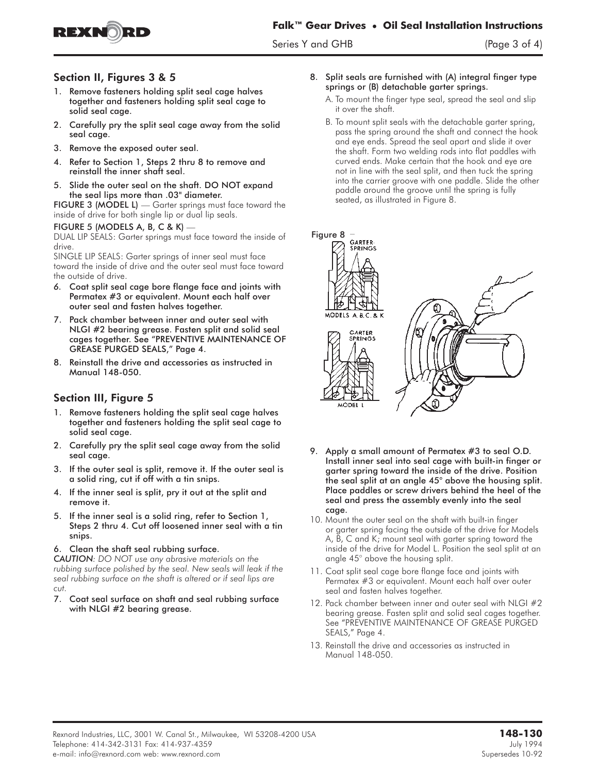**Falk™ Gear Drives • Oil Seal Installation Instructions**

Series Y and GHB (Page 3 of 4)



#### Section II, Figures 3 & 5

- 1. Remove fasteners holding split seal cage halves together and fasteners holding split seal cage to solid seal cage.
- 2. Carefully pry the split seal cage away from the solid seal cage.
- 3. Remove the exposed outer seal.
- 4. Refer to Section 1, Steps 2 thru 8 to remove and reinstall the inner shaft seal.
- 5. Slide the outer seal on the shaft. DO NOT expand the seal lips more than .03" diameter. 5. Slide the outer seal on the shat<br>the seal lips more than .03" dic<br>FIGURE 3 (MODEL L) — Garter sprin<br>inside of drive for both single lip or du<br>FIGURE 5 (MODELS A, B, C & K) —

FIGURE 3 (MODEL L) — Garter springs must face toward the inside of drive for both single lip or dual lip seals.

DUAL LIP SEALS: Garter springs must face toward the inside of drive.

SINGLE LIP SEALS: Garter springs of inner seal must face toward the inside of drive and the outer seal must face toward the outside of drive.

- *6.* Coat split seal cage bore flange face and joints with Permatex #3 or equivalent. Mount each half over outer seal and fasten halves together.
- 7. Pack chamber between inner and outer seal with NLGI #2 bearing grease. Fasten split and solid seal cages together. See "PREVENTIVE MAINTENANCE OF GREASE PURGED SEALS," Page 4.
- 8. Reinstall the drive and accessories as instructed in Manual 148-050.

## Section III, Figure 5

- 1. Remove fasteners holding the split seal cage halves together and fasteners holding the split seal cage to solid seal cage.
- 2. Carefully pry the split seal cage away from the solid seal cage.
- 3. If the outer seal is split, remove it. If the outer seal is a solid ring, cut if off with a tin snips.
- 4. If the inner seal is split, pry it out at the split and remove it.
- 5. If the inner seal is a solid ring, refer to Section 1, Steps 2 thru 4. Cut off loosened inner seal with a tin snips.
- 6. Clean the shaft seal rubbing surface.

*CAUTION: DO NOT use any abrasive materials on the rubbing surface polished by the seal. New seals will leak if the seal rubbing surface on the shaft is altered or if seal lips are cut.*

7. Coat seal surface on shaft and seal rubbing surface with NLGI #2 bearing grease.

- 8. Split seals are furnished with (A) integral finger type springs or (B) detachable garter springs.
	- A. To mount the finger type seal, spread the seal and slip it over the shaft.
	- B. To mount split seals with the detachable garter spring, pass the spring around the shaft and connect the hook and eye ends. Spread the seal apart and slide it over the shaft. Form two welding rods into flat paddles with curved ends. Make certain that the hook and eye are not in line with the seal split, and then tuck the spring into the carrier groove with one paddle. Slide the other paddle around the groove until the spring is fully seated, as illustrated in Figure 8.



- 9. Apply a small amount of Permatex #3 to seal O.D. Install inner seal into seal cage with built-in finger or garter spring toward the inside of the drive. Position the seal split at an angle 45° above the housing split. Place paddles or screw drivers behind the heel of the seal and press the assembly evenly into the seal cage.
- 10. Mount the outer seal on the shaft with built-in finger or garter spring facing the outside of the drive for Models A, B, C and K; mount seal with garter spring toward the inside of the drive for Model L. Position the seal split at an angle 45° above the housing split.
- 11. Coat split seal cage bore flange face and joints with Permatex #3 or equivalent. Mount each half over outer seal and fasten halves together.
- 12. Pack chamber between inner and outer seal with NLGI #2 bearing grease. Fasten split and solid seal cages together. See "PREVENTIVE MAINTENANCE OF GREASE PURGED SEALS," Page 4.
- 13. Reinstall the drive and accessories as instructed in Manual 148-050.